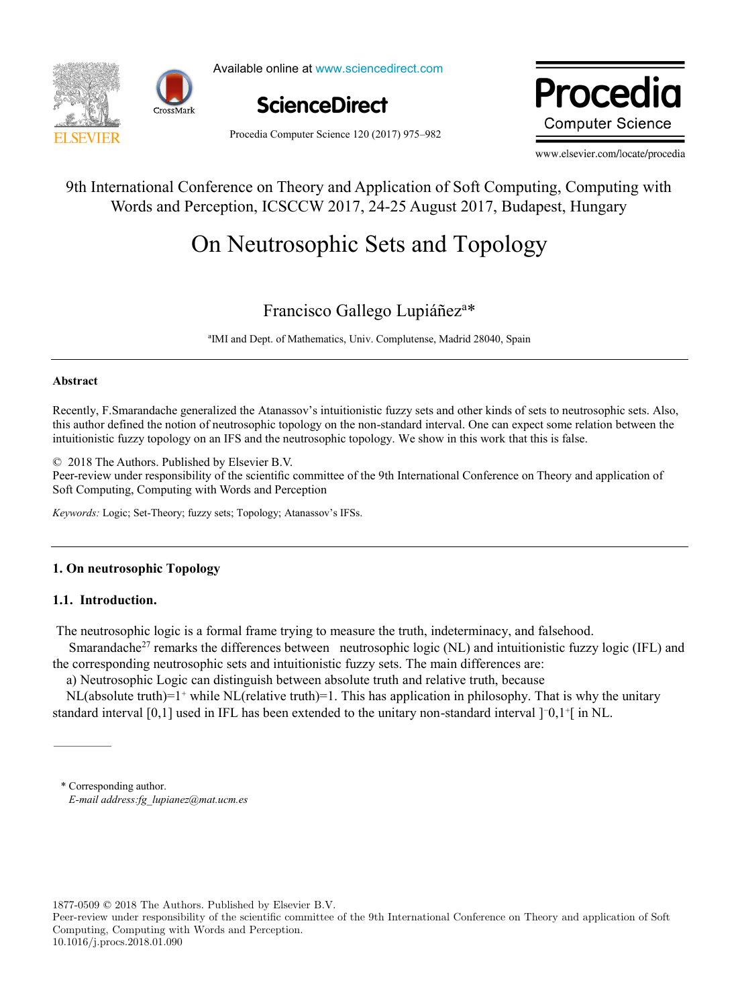

Available online at www.sciencedirect.com Procedia Computer Science Of The American Computer Science



ww.elsevie **Computer Science** 

Procedia Computer Science 120 (2017) 975–982

www.elsevier.com/locate/procedia

# 9th International Conference on Theory and Application of Soft Computing, Computing with Words and Perception, ICSCCW 2017, 24-25 August 2017, Budapest, Hungary

# On Neutrosophic Sets and Topology On Neutrosophic Sets and Topology

# Francisco Gallego Lupiáñez<sup>a\*</sup>

ªIMI and Dept. of Mathematics, Univ. Complutense, Madrid 28040, Spain ªIMI and Dept. of Mathematics, Univ. Complutense, Madrid 28040, Spain

# **Abstract Abstract**

Recently, F.Smarandache generalized the Atanassov's intuitionistic fuzzy sets and other kinds of sets to neutrosophic sets. Also, this author defined the notion of neutrosophic topology on the non-standard interval. One can expect some relation between the intuitionistic fuzzy topology on an IFS and the neutrosophic topology. We show in this work that this is false. intuitionistic fuzzy topology on an IFS and the neutrosophic topology. We show in this work that this is false.

© 2018 The Authors. Published by Elsevier B.V.

**Peer-review under responsibility of the scientific committee of the 9th International Conference on Theory and application of Soft Computing, Computing with Words and Perception** Petr-review under responsibility of the scientific committee of the 5th internation

*Keywords:* Logic; Set-Theory; fuzzy sets; Topology; Atanassov's IFSs. *Keywords:* Logic; Set-Theory; fuzzy sets; Topology; Atanassov's IFSs.

# **1. On neutrosophic Topology 1. On neutrosophic Topology**

# **1.1. Introduction. 1.1. Introduction.**

The neutrosophic logic is a formal frame trying to measure the truth, indeterminacy, and falsehood. The neutrosophic logic is a formal frame trying to measure the truth, indeterminacy, and falsehood.

Smarandache<sup>27</sup> remarks the differences between neutrosophic logic (NL) and intuitionistic fuzzy logic (IFL) and the corresponding neutrosophic sets and intuitionistic fuzzy sets. The main differences are: the corresponding neutrosophic sets and intuitionistic fuzzy sets. The main differences are:

a) Neutrosophic Logic can distinguish between absolute truth and relative truth, because a) Neutrosophic Logic can distinguish between absolute truth and relative truth, because

NL(absolute truth)=1<sup>+</sup> while NL(relative truth)=1. This has application in philosophy. That is why the unitary standard interval [0,1] used in IFL has been extended to the unitary non-standard interval ]<sup>-</sup>0,1<sup>+</sup>[ in NL.

\* Corresponding author. \* Corresponding author. *E-mail address:fg\_lupianez@mat.ucm.es E-mail address:fg\_lupianez@mat.ucm.es*

1877-0509 © 2018 The Authors. Published by Elsevier B.V.

Peer-review under responsibility of the scientific committee of the 9th International Conference on Theory and application of Soft Computing, Computing with Words and Perception. 10.1016/j.procs.2018.01.090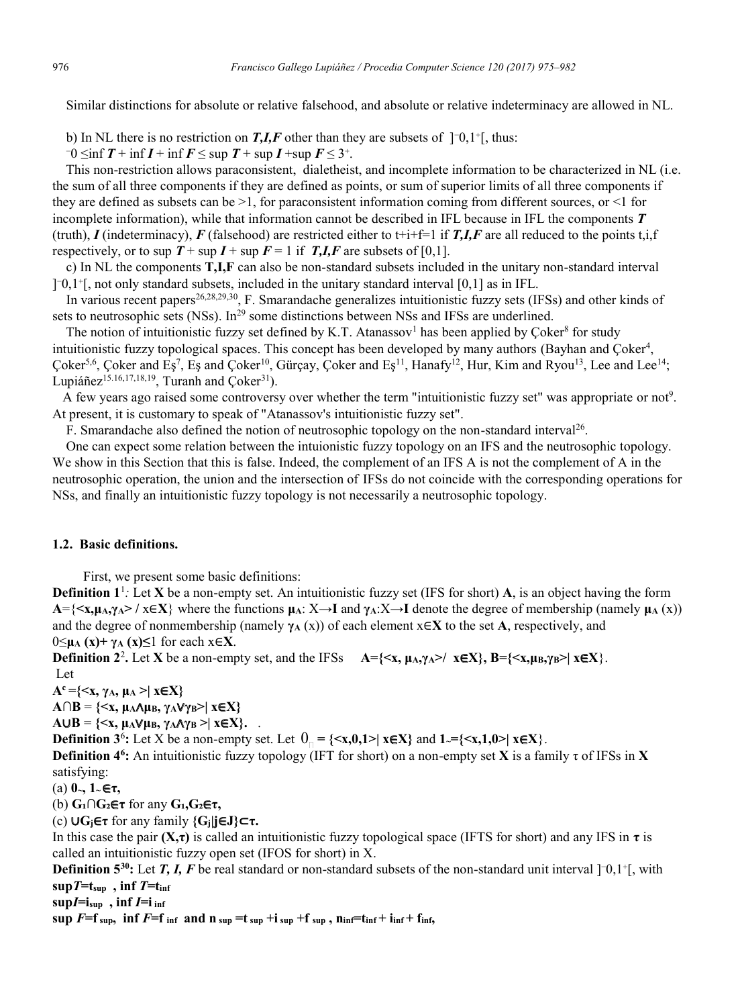Similar distinctions for absolute or relative falsehood, and absolute or relative indeterminacy are allowed in NL.

b) In NL there is no restriction on **T, I, F** other than they are subsets of  $\lceil 0.1 \rceil$ , thus:

 $-0$   $\leq$ inf  $T$  + inf  $I$  + inf  $F$   $\leq$  sup  $T$  + sup  $I$  + sup  $F$   $\leq$  3<sup>+</sup>.

 This non-restriction allows paraconsistent, dialetheist, and incomplete information to be characterized in NL (i.e. the sum of all three components if they are defined as points, or sum of superior limits of all three components if they are defined as subsets can be  $>1$ , for paraconsistent information coming from different sources, or  $\leq 1$  for incomplete information), while that information cannot be described in IFL because in IFL the components *T*  (truth), *I* (indeterminacy), *F* (falsehood) are restricted either to t+i+f=1 if *T*,*I*,*F* are all reduced to the points t,i,f respectively, or to sup  $T + \sup I + \sup F = 1$  if *T*,*I*,*F* are subsets of [0,1].

 c) In NL the components **T,I,F** can also be non-standard subsets included in the unitary non-standard interval  $]$ <sup>-0</sup>,1<sup>+</sup>[, not only standard subsets, included in the unitary standard interval [0,1] as in IFL.

In various recent papers<sup>26,28,29,30</sup>, F. Smarandache generalizes intuitionistic fuzzy sets (IFSs) and other kinds of sets to neutrosophic sets (NSs). In<sup>29</sup> some distinctions between NSs and IFSs are underlined.

The notion of intuitionistic fuzzy set defined by K.T. Atanassov<sup>1</sup> has been applied by Coker<sup>8</sup> for study intuitionistic fuzzy topological spaces. This concept has been developed by many authors (Bayhan and Çoker<sup>4</sup>, Çoker<sup>5,6</sup>, Çoker and Eş<sup>7</sup>, Eş and Çoker<sup>10</sup>, Gürçay, Çoker and Eş<sup>11</sup>, Hanafy<sup>12</sup>, Hur, Kim and Ryou<sup>13</sup>, Lee and Lee<sup>14</sup>; Lupiáñez<sup>15.16,17,18,19</sup>, Turanh and Çoker<sup>31</sup>).

A few years ago raised some controversy over whether the term "intuitionistic fuzzy set" was appropriate or not<sup>9</sup>. At present, it is customary to speak of "Atanassov's intuitionistic fuzzy set".

F. Smarandache also defined the notion of neutrosophic topology on the non-standard interval26.

 One can expect some relation between the intuionistic fuzzy topology on an IFS and the neutrosophic topology. We show in this Section that this is false. Indeed, the complement of an IFS A is not the complement of A in the neutrosophic operation, the union and the intersection of IFSs do not coincide with the corresponding operations for NSs, and finally an intuitionistic fuzzy topology is not necessarily a neutrosophic topology.

#### **1.2. Basic definitions.**

First, we present some basic definitions:

**Definition 1**<sup>1</sup> *:* Let **X** be a non-empty set. An intuitionistic fuzzy set (IFS for short) **A**, is an object having the form **A**={ $\langle x, \mu_A, \gamma_A \rangle$  **/**  $x \in \mathbf{X}$ **} where the functions**  $\mu_A: X \to I$  **and**  $\gamma_A: X \to I$  **denote the degree of membership (namely**  $\mu_A(x)$ **)** and the degree of nonmembership (namely  $\gamma_A(x)$ ) of each element  $x \in X$  to the set **A**, respectively, and 0≤**μ<sup>A</sup> (x)+ γ<sup>A</sup> (x)≤**1 for each x∈**X**.

**Definition** 2<sup>2</sup>. Let **X** be a non-empty set, and the IFSs  $A = \{ \langle x, \mu_A, \gamma_A \rangle / \langle x \in X \}, B = \{ \langle x, \mu_B, \gamma_B \rangle | \langle x \in X \}$ . Let

 $A^c = \{ \langle x, \gamma_A, \mu_A \rangle \mid x \in X \}$ 

 $A \cap B = \{ \langle x, \mu_A \wedge \mu_B, \gamma_A \vee \gamma_B \rangle \mid x \in X \}$ 

 $A \cup B = \{ \langle x, \mu_A \vee \mu_B, \gamma_A \wedge \gamma_B \rangle \mid x \in X \}.$ 

**Definition 3<sup>6</sup>:** Let X be a non-empty set. Let  $0_0 = \{ \langle x, 0, 1 \rangle \mid x \in X \}$  and  $1 = \{ \langle x, 1, 0 \rangle \mid x \in X \}$ .

**Definition 46 :** An intuitionistic fuzzy topology (IFT for short) on a non-empty set **X** is a family τ of IFSs in **X**  satisfying:

(a) **0~, 1~** ∈**τ,**

(b) **G₁∩G₂**∈**τ** for any **G₁,G₂**∈**τ,**

(c) ∪**Gj**∈**τ** for any family **{Gj|j**∈**J}**⊂**τ.**

In this case the pair  $(X,\tau)$  is called an intuitionistic fuzzy topological space (IFTS for short) and any IFS in  $\tau$  is called an intuitionistic fuzzy open set (IFOS for short) in X.

**Definition 5<sup>30</sup>:** Let *T*, *I*, *F* be real standard or non-standard subsets of the non-standard unit interval ]<sup>-</sup>0,1<sup>+</sup>[, with  $\sup T = t_{\text{sup}}$ ,  $\inf T = t_{\text{inf}}$ 

 $\sup I = i_{\text{sup}}$ ,  $\inf I = i_{\text{inf}}$ 

 $\sup$  *F***=f**  $\sup$ ,  $\inf$  *F***=f**  $\inf$  *n*  $\inf$  **n**  $\sup$  **=t**  $\sup$  **+i**  $\sup$  **+f**  $\sup$  **n**  $\inf$  **n**  $\inf$  **+**  $\inf$   $\inf$  **+**  $\inf$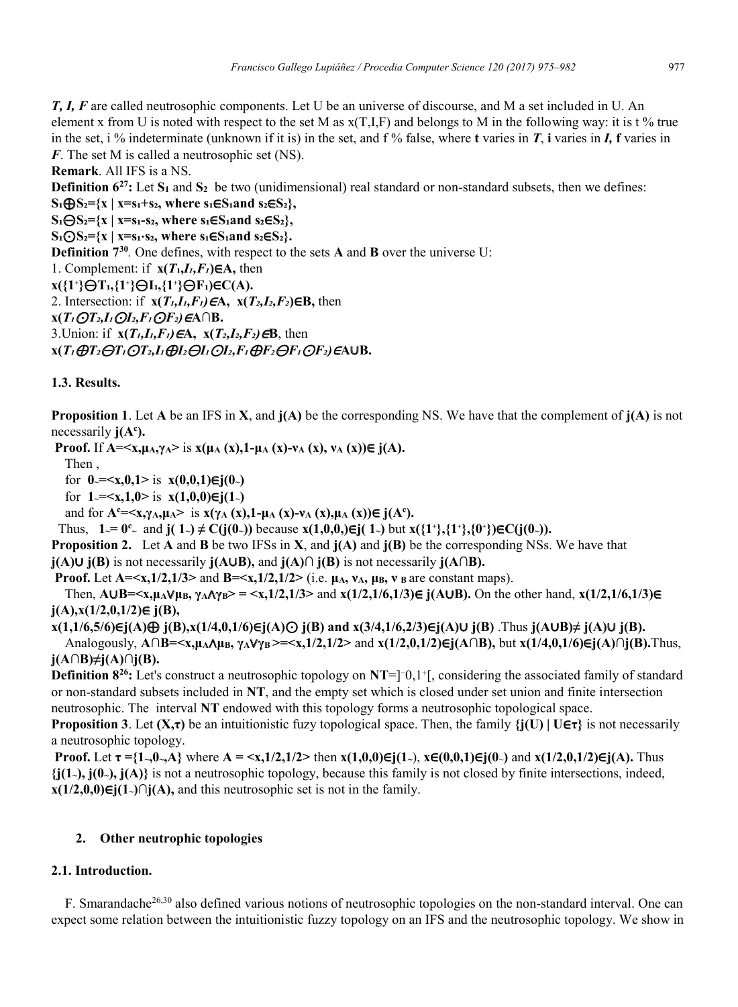*T, I, F* are called neutrosophic components. Let U be an universe of discourse, and M a set included in U. An element x from U is noted with respect to the set M as  $x(T,I,F)$  and belongs to M in the following way: it is t % true in the set, i % indeterminate (unknown if it is) in the set, and  $f$  % false, where **t** varies in *T*, **i** varies in *I*, **f** varies in *F*. The set M is called a neutrosophic set (NS).

**Remark**. All IFS is a NS.

**Definition**  $6^{27}$ **:** Let  $S_1$  and  $S_2$  be two (unidimensional) real standard or non-standard subsets, then we defines:

 $S_1 \bigoplus S_2 = \{x \mid x = s_1 + s_2, \text{ where } s_1 \in S_1 \text{ and } s_2 \in S_2\},\$ 

**S₁**⊝**S₂={x | x=s₁-s₂, where s₁**∈**S₁and s₂**∈**S₂},**

 $S_1 \text{O} S_2 = \{x \mid x = s_1 \cdot s_2, \text{ where } s_1 \in S_1 \text{ and } s_2 \in S_2\}.$ 

**Definition**  $7^{30}$ . One defines, with respect to the sets **A** and **B** over the universe U:

1. Complement: if  $\mathbf{x}(T_1, I_1, F_1) \in \mathbf{A}$ , then

**x({1⁺}**⊝**T₁,{1⁺}**⊝**I₁,{1⁺}**⊝**F₁)**∈**C(A).**

2. Intersection: if **x(***T₁,I₁,F₁)*∈**A, x(***T₂,I₂,F₂***)**∈**B,** then

**x(***T₁*⊙*T₂,I₁*⊙*I₂,F₁*⊙*F₂)*∈**A∩B.**

3.Union: if **x(***T₁,I₁,F₁)*∈**A, x(***T₂,I₂,F₂)*∈**B**, then

 $X(T_1 \bigoplus T_2 \bigoplus T_1 \bigodot T_2, I_1 \bigoplus I_2 \bigoplus I_1 \bigodot I_2, F_1 \bigoplus F_2 \bigoplus F_1 \bigodot F_2) \in A \cup B.$ 

# **1.3. Results.**

**Proposition 1**. Let **A** be an IFS in **X**, and **j(A)** be the corresponding NS. We have that the complement of **j(A)** is not necessarily  $j(A^c)$ .

**Proof.** If **A**=≤x, $\mu_A, \gamma_A >$  is  $x(\mu_A(x), 1-\mu_A(x)-v_A(x), v_A(x)) \in j(A)$ .

Then ,

for  $0 = \langle x, 0, 1 \rangle$  is  $x(0,0,1) \in i(0)$ 

for  $1 = \le x, 1, 0 >$  is  $x(1,0,0) \in i(1)$ 

and for  $A^c = \langle x, \gamma_A, \mu_A \rangle$  is  $x(\gamma_A(x), 1 - \mu_A(x) - \nu_A(x), \mu_A(x)) \in j(A^c)$ .

Thus,  $1 = 0^\circ$  and **j**( $1$ -)  $\neq$  C(**j**(0−)) because **x**(1,0,0,)∈**j**( $1$ -) but **x**({1<sup>+</sup>},{1<sup>+</sup>},{0<sup>+</sup>})∈C(**j**(0−)).

**Proposition 2.** Let **A** and **B** be two IFSs in **X**, and **j(A)** and **j(B)** be the corresponding NSs. We have that

**j(A)**∪ **j(B)** is not necessarily **j(A**∪**B),** and **j(A)∩ j(B)** is not necessarily **j(A∩B).**

**Proof.** Let  $A = \langle x, 1/2, 1/3 \rangle$  and  $B = \langle x, 1/2, 1/2 \rangle$  (i.e.  $\mu_A$ ,  $\nu_A$ ,  $\mu_B$ ,  $\nu_B$  are constant maps).

Then,  $A \cup B = \langle x, \mu_A \lor \mu_B, \gamma_A \land \gamma_B \rangle = \langle x, 1/2, 1/3 \rangle$  and  $x(1/2, 1/6, 1/3) \in j(A \cup B)$ . On the other hand,  $x(1/2, 1/6, 1/3) \in j(A \cup B)$ . **j(A),x(1/2,0,1/2)**∈ **j(B),** 

**x(1,1/6,5/6)**∈**j(A)**⊕ **j(B),x(1/4,0,1/6)**∈**j(A)**⊙ **j(B) and x(3/4,1/6,2/3)**∈**j(A)**∪ **j(B)** .Thus **j(A**∪**B)≠ j(A)**∪ **j(B).** Analogously, **A∩B=<x,μA**∧**μB, γA**∨**γB >=<x,1/2,1/2>** and **x(1/2,0,1/2)**∈**j(A∩B),** but **x(1/4,0,1/6)**∈**j(A)∩j(B).**Thus, **j(A∩B)≠j(A)∩j(B).**

**Definition**  $8^{26}$ **:** Let's construct a neutrosophic topology on  $NT = ]0,1^{\circ}|$ , considering the associated family of standard or non-standard subsets included in **NT**, and the empty set which is closed under set union and finite intersection neutrosophic. The interval **NT** endowed with this topology forms a neutrosophic topological space.

**Proposition 3**. Let  $(X,\tau)$  be an intuitionistic fuzy topological space. Then, the family  $\{j(U) | U \in \tau\}$  is not necessarily a neutrosophic topology.

**Proof.** Let  $\tau = \{1, 0, 0, A\}$  where  $A = \langle x, 1/2, 1/2 \rangle$  then  $x(1,0,0) \in \mathbf{r}(1)$ ,  $x \in (0,0,1) \in \mathbf{r}(0)$  and  $x(1/2,0,1/2) \in \mathbf{r}(A)$ . Thus **{j(1~), j(0~), j(A)}** is not a neutrosophic topology, because this family is not closed by finite intersections, indeed, **x**(1/2,0,0)∈**j**(1~)∩**j**(A), and this neutrosophic set is not in the family.

# **2. Other neutrophic topologies**

# **2.1. Introduction.**

F. Smarandache<sup>26,30</sup> also defined various notions of neutrosophic topologies on the non-standard interval. One can expect some relation between the intuitionistic fuzzy topology on an IFS and the neutrosophic topology. We show in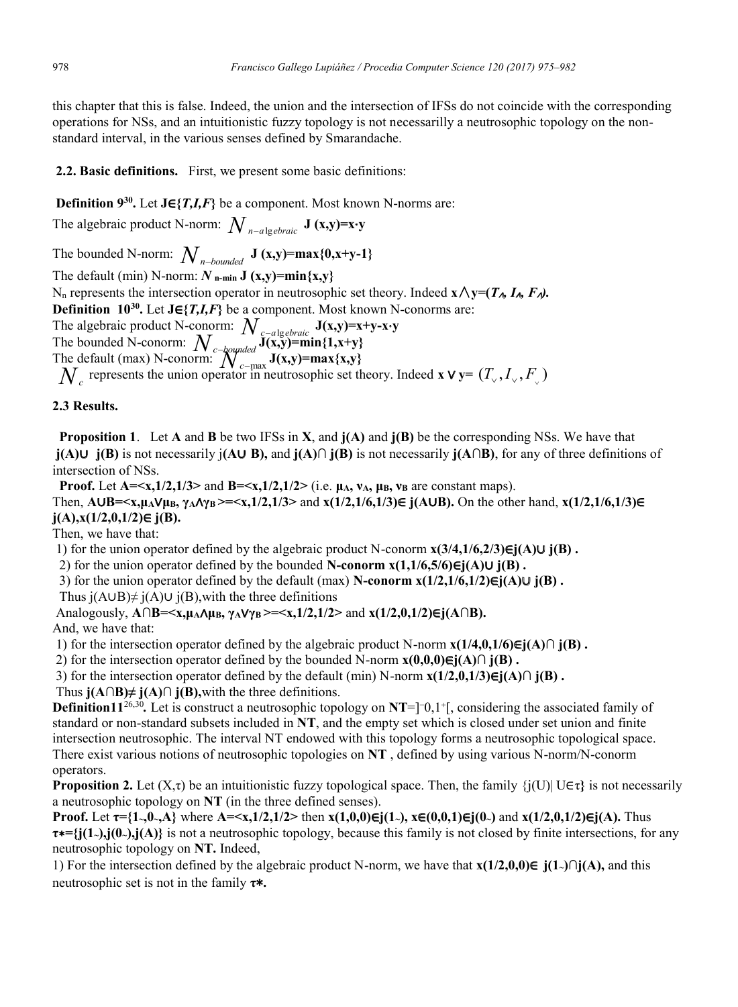this chapter that this is false. Indeed, the union and the intersection of IFSs do not coincide with the corresponding operations for NSs, and an intuitionistic fuzzy topology is not necessarilly a neutrosophic topology on the nonstandard interval, in the various senses defined by Smarandache.

# **2.2. Basic definitions.** First, we present some basic definitions:

**Definition 930 .** Let **J**∈**{***T,I,F***}** be a component. Most known N-norms are:

The algebraic product N-norm:  $N_{n-a|o}$ <sub>*ebraic*</sub> **J** (**x,y**)=**x**⋅**y** 

The bounded N-norm:  $N_{n-bounded}$  **J** (**x,y**)=max{0,**x**+y-1}

The default (min) N-norm:  $N$  **n-min J** (**x**,y)=min{x,y}

Nn represents the intersection operator in neutrosophic set theory. Indeed **x**∧**y=(***T*∧*, I*∧*, F*∧*).*

**Definition 1030 .** Let **J**∈**{***T,I,F***}** be a component. Most known N-conorms are:

The algebraic product N-conorm:  $N_{c-a|g}$ <sub> $g$ </sub> $J(x,y)=x+y-x\cdot y$ <br>The handed N concerns  $\lambda^T$ 

The bounded N-conorm:  $N_c$ -bounded  $J(x,y)$ =min{1,x+y}<sup> $T(x,y)$ </sup>=min{1,x+y} The default (max) N-conorm:  $\sum_{c=\text{max}}^{b} J(x,y) = \max\{x,y\}$ <br>*M<sub>c</sub>*-max souther approximate at the

 $N_c$  represents the union operator in neutrosophic set theory. Indeed **x** ∨ **y**=  $(T_v, I_v, F_v)$ 

# **2.3 Results.**

 **Proposition 1**. Let **A** and **B** be two IFSs in **X**, and **j(A)** and **j(B)** be the corresponding NSs. We have that **j(A)**∪ **j(B)** is not necessarily j**(A**∪ **B),** and **j(A)∩ j(B)** is not necessarily **j(A∩B)**, for any of three definitions of intersection of NSs.

**Proof.** Let  $A = \langle x, 1/2, 1/3 \rangle$  and  $B = \langle x, 1/2, 1/2 \rangle$  (i.e.  $\mu$ A<sub>1</sub>,  $\nu$ <sub>B</sub>,  $\nu$ <sub>B</sub> are constant maps).

Then,  $A \cup B = \langle x, \mu_A \rangle/\mu, \gamma_A \wedge \gamma_B \rangle = \langle x, 1/2, 1/3 \rangle$  and  $x(1/2, 1/6, 1/3) \in j(A \cup B)$ . On the other hand,  $x(1/2, 1/6, 1/3) \in j(A \cup B)$ **j(A),x(1/2,0,1/2)**∈ **j(B).**

Then, we have that:

1) for the union operator defined by the algebraic product N-conorm **x(3/4,1/6,2/3)**∈**j(A)**∪ **j(B) .**

2) for the union operator defined by the bounded **N-conorm x(1,1/6,5/6)**∈**j(A)**∪ **j(B) .**

3) for the union operator defined by the default (max) **N-conorm x(1/2,1/6,1/2)**∈**j(A)**∪ **j(B) .**

Thus j(A∪B)≠ j(A)∪ j(B), with the three definitions

Analogously, **A∩B=<x,μA**∧**μB, γA**∨**γB >=<x,1/2,1/2>** and **x(1/2,0,1/2)**∈**j(A∩B).**

And, we have that:

1) for the intersection operator defined by the algebraic product N-norm **x(1/4,0,1/6)**∈**j(A)∩ j(B) .**

2) for the intersection operator defined by the bounded N-norm **x(0,0,0)**∈**j(A)∩ j(B) .**

3) for the intersection operator defined by the default (min) N-norm **x(1/2,0,1/3)**∈**j(A)∩ j(B) .**

Thus **j(A∩B)≠ j(A)∩ j(B),**with the three definitions.

**Definition11**<sup>26,30</sup>. Let is construct a neutrosophic topology on **NT**=]<sup>-</sup>0,1<sup>+</sup>[, considering the associated family of standard or non-standard subsets included in **NT**, and the empty set which is closed under set union and finite intersection neutrosophic. The interval NT endowed with this topology forms a neutrosophic topological space. There exist various notions of neutrosophic topologies on **NT** , defined by using various N-norm/N-conorm operators.

**Proposition 2.** Let  $(X,\tau)$  be an intuitionistic fuzzy topological space. Then, the family  $\{j(U)| U \in \tau\}$  is not necessarily a neutrosophic topology on **NT** (in the three defined senses).

**Proof.** Let  $\tau = \{1, 0, 0, A\}$  where  $A = \langle x, 1/2, 1/2 \rangle$  then  $x(1,0,0) \in (1, 0)$ ,  $x \in (0,0,1) \in (0, 0)$  and  $x(1/2,0,1/2) \in (A)$ . Thus **τ**∗**={j(1~),j(0~),j(A)}** is not a neutrosophic topology, because this family is not closed by finite intersections, for any neutrosophic topology on **NT.** Indeed,

1) For the intersection defined by the algebraic product N-norm, we have that **x(1/2,0,0)**∈ **j(1~)∩j(A),** and this neutrosophic set is not in the family **τ∗.**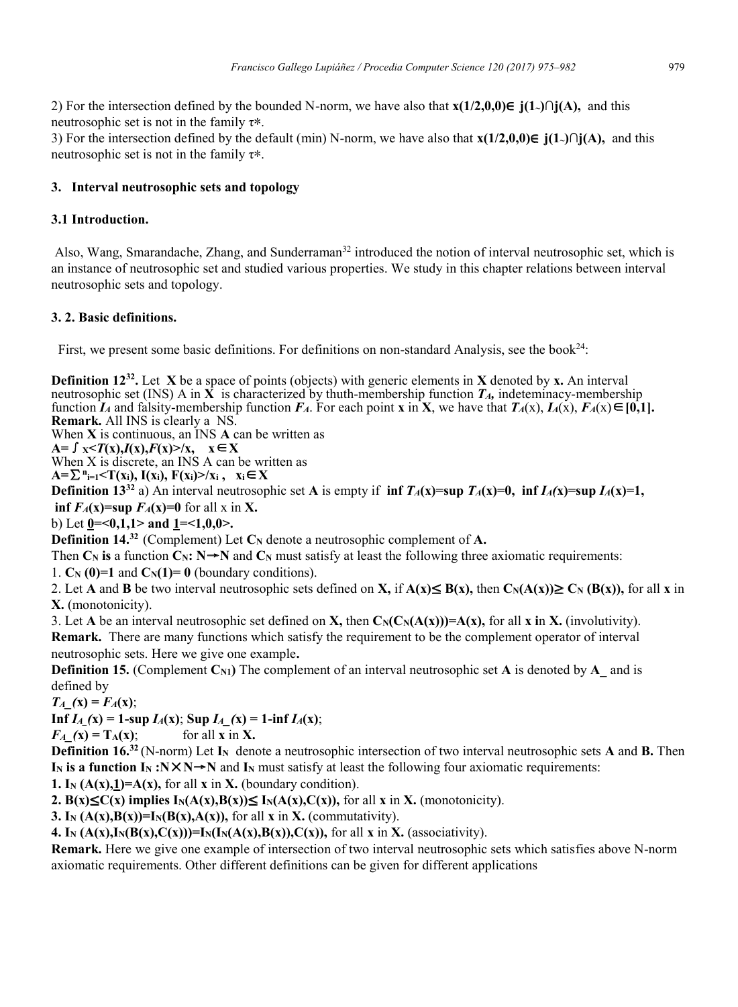2) For the intersection defined by the bounded N-norm, we have also that **x(1/2,0,0)**∈ **j(1~)∩j(A),** and this neutrosophic set is not in the family τ**∗**.

3) For the intersection defined by the default (min) N-norm, we have also that **x(1/2,0,0)**∈ **j(1~)∩j(A),** and this neutrosophic set is not in the family τ**∗**.

#### **3. Interval neutrosophic sets and topology**

#### **3.1 Introduction.**

Also, Wang, Smarandache, Zhang, and Sunderraman<sup>32</sup> introduced the notion of interval neutrosophic set, which is an instance of neutrosophic set and studied various properties. We study in this chapter relations between interval neutrosophic sets and topology.

#### **3. 2. Basic definitions.**

First, we present some basic definitions. For definitions on non-standard Analysis, see the book<sup>24</sup>:

**Definition 12<sup>32</sup>.** Let **X** be a space of points (objects) with generic elements in **X** denoted by **x**. An interval neutrosophic set (INS) A in **X** is characterized by thuth-membership function *TA,* indeteminacy-membership function *IA* and falsity-membership function  $F_A$ . For each point **x** in **X**, we have that  $T_A(x)$ ,  $I_A(x)$ ,  $F_A(x) \in [0,1]$ . **Remark.** All INS is clearly a NS.

When **X** is continuous, an INS **A** can be written as

**A=**∫**X<***T***(x),***I***(x),***F***(x)>/x, x**∈**X**

When X is discrete, an INS A can be written as

 $A = \sum_{i=1}^{n} < T(x_i)$ ,  $I(x_i)$ ,  $F(x_i) > /x_i$ ,  $x_i \in X$ 

**Definition 13**<sup>32</sup> a) An interval neutrosophic set **A** is empty if  $\inf T_A(x)=\sup T_A(x)=0$ ,  $\inf I_A(x)=\sup I_A(x)=1$ , **inf**  $F_A(x) = \sup F_A(x) = 0$  for all x in X.

b) Let **0=<0,1,1> and 1=<1,0,0>.**

**Definition 14.**<sup>32</sup> (Complement) Let  $C_N$  denote a neutrosophic complement of A.

Then  $\mathbf{C}_N$  **is** a function  $\mathbf{C}_N$ :  $\mathbf{N} \rightarrow \mathbf{N}$  and  $\mathbf{C}_N$  must satisfy at least the following three axiomatic requirements:

1.  $C_N$  (0)=1 and  $C_N(1)=0$  (boundary conditions).

2. Let **A** and **B** be two interval neutrosophic sets defined on **X**, if  $A(x) \leq B(x)$ , then  $C_N(A(x)) \geq C_N(B(x))$ , for all **x** in **X.** (monotonicity).

3. Let **A** be an interval neutrosophic set defined on **X**, then  $C_N(C_N(A(x)))=A(x)$ , for all **x** in **X**. (involutivity). **Remark.** There are many functions which satisfy the requirement to be the complement operator of interval neutrosophic sets. Here we give one example**.**

**Definition 15.** (Complement  $\text{C}_{N1}$ ) The complement of an interval neutrosophic set **A** is denoted by **A** and is defined by

 $T_A(x) = F_A(x)$ ;

**Inf**  $I_A(x) = 1$ -sup  $I_A(x)$ ; Sup  $I_A(x) = 1$ -inf  $I_A(x)$ ;

 $F_A(x) = T_A(x);$  for all **x** in **X**.

**Definition 16.32** (N-norm) Let **IN** denote a neutrosophic intersection of two interval neutrosophic sets **A** and **B.** Then **I<sub>N</sub>** is a function I<sub>N</sub> :N $\times$ N $\rightarrow$ N and I<sub>N</sub> must satisfy at least the following four axiomatic requirements:

**1.** I<sub>N</sub>  $(A(x),1)=A(x)$ , for all **x** in **X**. (boundary condition).

**2.** B(x)≤C(x) implies  $I_N(A(x),B(x))$ ≤  $I_N(A(x),C(x))$ , for all x in X. (monotonicity).

**3.** I<sub>N</sub>  $(A(x),B(x))=I_N(B(x),A(x))$ , for all **x** in **X**. (commutativity).

**4.** In  $(A(x), I_N(B(x), C(x))) = I_N(I_N(A(x), B(x)), C(x))$ , for all **x** in **X**. (associativity).

**Remark.** Here we give one example of intersection of two interval neutrosophic sets which satisfies above N-norm axiomatic requirements. Other different definitions can be given for different applications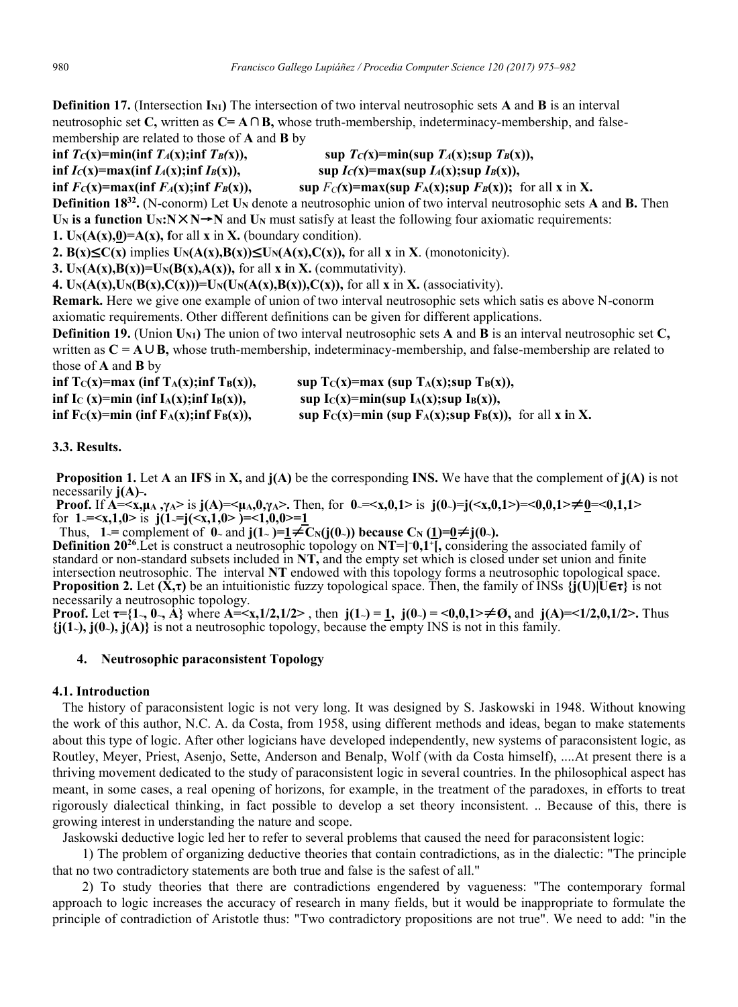**Definition 17.** (Intersection **IN1)** The intersection of two interval neutrosophic sets **A** and **B** is an interval neutrosophic set **C,** written as **C= A**∩**B,** whose truth-membership, indeterminacy-membership, and falsemembership are related to those of **A** and **B** by

 $\inf T_C(x) = \min(\inf T_A(x); \inf T_B(x)),$  sup  $T_C(x) = \min(\sup T_A(x); \sup T_B(x)),$  $\inf I_C(x) = \max(\inf I_A(x); \inf I_B(x)),$  sup  $I_C(x) = \max(\sup I_A(x); \sup I_B(x)),$ **inf**  $F_C(x) = max(\inf F_A(x); \inf F_B(x))$ , sup  $F_C(x) = max(\sup F_A(x); \sup F_B(x))$ ; for all x in X. **Definition 18<sup>32</sup>.** (N-conorm) Let **U<sub>N</sub>** denote a neutrosophic union of two interval neutrosophic sets **A** and **B.** Then **U<sub>N</sub>** is a function  $U_N: N \times N \rightarrow N$  and  $U_N$  must satisfy at least the following four axiomatic requirements: **1.**  $U_N(A(x),0) = A(x)$ , for all **x** in **X**. (boundary condition). **2. B(x)≤C(x)** implies  $U_N(A(x),B(x))$ ≤ $U_N(A(x),C(x))$ , for all **x** in **X**. (monotonicity). **3.**  $U_N(A(x),B(x))=U_N(B(x),A(x))$ , for all **x** in **X**. (commutativity). **4.**  $U_N(A(x), U_N(B(x), C(x))) = U_N(U_N(A(x), B(x)), C(x))$ , for all **x** in **X**. (associativity). **Remark.** Here we give one example of union of two interval neutrosophic sets which satis es above N-conorm axiomatic requirements. Other different definitions can be given for different applications.

**Definition 19.** (Union **UN1)** The union of two interval neutrosophic sets **A** and **B** is an interval neutrosophic set **C,**  written as **C = A**∪**B,** whose truth-membership, indeterminacy-membership, and false-membership are related to those of **A** and **B** by

| inf $T_C(x) = max$ (inf $T_A(x); inf T_B(x)$ ),                             | sup $T_C(x) = max$ (sup $T_A(x); sup T_B(x)$ ),             |
|-----------------------------------------------------------------------------|-------------------------------------------------------------|
| inf I <sub>C</sub> (x)=min (inf I <sub>A</sub> (x);inf I <sub>B</sub> (x)), | sup $I_C(x)$ =min(sup $I_A(x);$ sup $I_B(x)$ ),             |
| inf $F_C(x)$ =min (inf $F_A(x);$ inf $F_B(x)$ ),                            | sup $Fc(x)=min$ (sup $F_A(x);sup F_B(x)$ ), for all x in X. |

#### **3.3. Results.**

**Proposition 1.** Let **A** an **IFS** in **X,** and **j(A)** be the corresponding **INS.** We have that the complement of **j(A)** is not necessarily **j**(A)-.

**Proof.** If  $\overrightarrow{A} = \langle x, \mu_A, \gamma_A \rangle$  is  $j(A) = \langle \mu_A, 0, \gamma_A \rangle$ . Then, for  $0 = \langle x, 0, 1 \rangle$  is  $j(0) = j(\langle x, 0, 1 \rangle) = \langle 0, 0, 1 \rangle \neq 0 = \langle 0, 1, 1 \rangle$ for  $1 = \langle x, 1, 0 \rangle$  is  $j(1) = j(\langle x, 1, 0 \rangle) = \langle 1, 0, 0 \rangle = 1$ 

 **Thus,**  $1 = \text{complement of } 0$  and  $\mathbf{j}(1) = 1 \neq \text{C}_N(\mathbf{j}(0))$  because C<sub>N</sub> (1)=0≠ $\mathbf{j}(0)$ .

**Definition 20<sup>26</sup>**. Let is construct a neutrosophic topology on **NT=[-0,1<sup>-</sup>]**, considering the associated family of standard or non-standard subsets included in **NT,** and the empty set which is closed under set union and finite intersection neutrosophic. The interval **NT** endowed with this topology forms a neutrosophic topological space. **Proposition 2.** Let  $(\dot{\mathbf{X}}, \tau)$  be an intuitionistic fuzzy topological space. Then, the family of INSs  $\{\mathbf{i}(\mathbf{U}) | \mathbf{U} \in \tau\}$  is not necessarily a neutrosophic topology.

**Proof.** Let  $\tau = \{1, 0, \ldots, A\}$  where  $A = \{x, 1/2, 1/2\}$ , then  $j(1) = 1$ ,  $j(0) = \{0, 0, 1\}$   $\neq \emptyset$ , and  $j(A) = \{1/2, 0, 1/2\}$ . Thus **{j(1~), j(0~), j(A)}** is not a neutrosophic topology, because the empty INS is not in this family.

#### **4. Neutrosophic paraconsistent Topology**

#### **4.1. Introduction**

 The history of paraconsistent logic is not very long. It was designed by S. Jaskowski in 1948. Without knowing the work of this author, N.C. A. da Costa, from 1958, using different methods and ideas, began to make statements about this type of logic. After other logicians have developed independently, new systems of paraconsistent logic, as Routley, Meyer, Priest, Asenjo, Sette, Anderson and Benalp, Wolf (with da Costa himself), ....At present there is a thriving movement dedicated to the study of paraconsistent logic in several countries. In the philosophical aspect has meant, in some cases, a real opening of horizons, for example, in the treatment of the paradoxes, in efforts to treat rigorously dialectical thinking, in fact possible to develop a set theory inconsistent. .. Because of this, there is growing interest in understanding the nature and scope.

Jaskowski deductive logic led her to refer to several problems that caused the need for paraconsistent logic:

 1) The problem of organizing deductive theories that contain contradictions, as in the dialectic: "The principle that no two contradictory statements are both true and false is the safest of all."

 2) To study theories that there are contradictions engendered by vagueness: "The contemporary formal approach to logic increases the accuracy of research in many fields, but it would be inappropriate to formulate the principle of contradiction of Aristotle thus: "Two contradictory propositions are not true". We need to add: "in the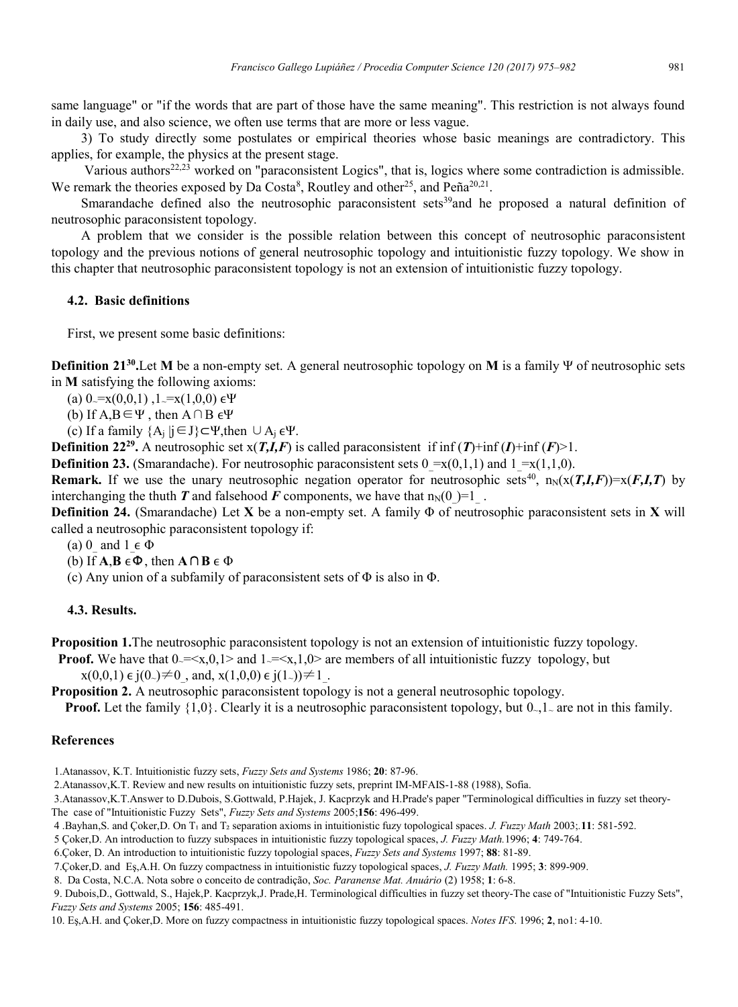same language" or "if the words that are part of those have the same meaning". This restriction is not always found in daily use, and also science, we often use terms that are more or less vague.

 3) To study directly some postulates or empirical theories whose basic meanings are contradictory. This applies, for example, the physics at the present stage.

Various authors<sup>22,23</sup> worked on "paraconsistent Logics", that is, logics where some contradiction is admissible. We remark the theories exposed by Da Costa<sup>8</sup>, Routley and other<sup>25</sup>, and Peña<sup>20,21</sup>.

Smarandache defined also the neutrosophic paraconsistent sets<sup>39</sup>and he proposed a natural definition of neutrosophic paraconsistent topology.

 A problem that we consider is the possible relation between this concept of neutrosophic paraconsistent topology and the previous notions of general neutrosophic topology and intuitionistic fuzzy topology. We show in this chapter that neutrosophic paraconsistent topology is not an extension of intuitionistic fuzzy topology.

### **4.2. Basic definitions**

First, we present some basic definitions:

**Definition 2130 .**Let **M** be a non-empty set. A general neutrosophic topology on **M** is a family Ψ of neutrosophic sets in **M** satisfying the following axioms:

(a)  $0 = x(0,0,1)$ ,  $1 = x(1,0,0) \in \Psi$ 

(b) If  $A, B \in \Psi$ , then  $A \cap B \in \Psi$ 

(c) If a family  ${A_j | j \in J} \subset \Psi$ , then  $\cup A_i \in \Psi$ .

**Definition** 22<sup>29</sup>. A neutrosophic set  $x(T,I,F)$  is called paraconsistent if inf  $(T)$ +inf  $(I)$ +inf  $(F)$ >1.

**Definition 23.** (Smarandache). For neutrosophic paraconsistent sets  $0 = x(0,1,1)$  and  $1 = x(1,1,0)$ .

**Remark.** If we use the unary neutrosophic negation operator for neutrosophic sets<sup>40</sup>,  $n_N(x(T,I,F))=x(F,I,T)$  by interchanging the thuth *T* and falsehood *F* components, we have that  $n_N(0) = 1$ .

**Definition 24.** (Smarandache) Let **X** be a non-empty set. A family Φ of neutrosophic paraconsistent sets in **X** will called a neutrosophic paraconsistent topology if:

(a) 0\_ and 1  $\in \Phi$ 

(b) If  $A, B \in \Phi$ , then  $A \cap B \in \Phi$ 

(c) Any union of a subfamily of paraconsistent sets of  $\Phi$  is also in  $\Phi$ .

#### **4.3. Results.**

**Proposition 1.**The neutrosophic paraconsistent topology is not an extension of intuitionistic fuzzy topology.

**Proof.** We have that  $0 = \langle x, 0, 1 \rangle$  and  $1 = \langle x, 1, 0 \rangle$  are members of all intuitionistic fuzzy topology, but  $x(0,0,1) \in j(0_-) \neq 0$ , and,  $x(1,0,0) \in j(1_-) \neq 1$ .

**Proposition 2.** A neutrosophic paraconsistent topology is not a general neutrosophic topology.

**Proof.** Let the family  $\{1,0\}$ . Clearly it is a neutrosophic paraconsistent topology, but  $0,1$  are not in this family.

#### **References**

- 1.Atanassov, K.T. Intuitionistic fuzzy sets, *Fuzzy Sets and Systems* 1986; **20**: 87-96.
- 2.Atanassov,K.T. Review and new results on intuitionistic fuzzy sets, preprint IM-MFAIS-1-88 (1988), Sofia.

3.Atanassov,K.T.Answer to D.Dubois, S.Gottwald, P.Hajek, J. Kacprzyk and H.Prade's paper "Terminological difficulties in fuzzy set theory-The case of "Intuitionistic Fuzzy Sets", *Fuzzy Sets and Systems* 2005;**156**: 496-499.

- 4 .Bayhan,S. and Çoker,D. On T₁ and T₂ separation axioms in intuitionistic fuzy topological spaces. *J. Fuzzy Math* 2003;*.***11**: 581-592.
- 5 Çoker,D. An introduction to fuzzy subspaces in intuitionistic fuzzy topological spaces, *J. Fuzzy Math.*1996; **4**: 749-764.

<sup>6.</sup>Çoker, D. An introduction to intuitionistic fuzzy topologial spaces, *Fuzzy Sets and Systems* 1997; **88**: 81-89.

<sup>7.</sup>Çoker,D. and Eş,A.H. On fuzzy compactness in intuitionistic fuzzy topological spaces, *J. Fuzzy Math.* 1995; **3**: 899-909.

<sup>8.</sup> Da Costa, N.C.A. Nota sobre o conceito de contradição, *Soc. Paranense Mat. Anuário* (2) 1958; **1**: 6-8.

<sup>9.</sup> Dubois,D., Gottwald, S., Hajek,P. Kacprzyk,J. Prade,H. Terminological difficulties in fuzzy set theory-The case of "Intuitionistic Fuzzy Sets", *Fuzzy Sets and Systems* 2005; **156**: 485-491.

<sup>10.</sup> Eş,A.H. and Çoker,D. More on fuzzy compactness in intuitionistic fuzzy topological spaces. *Notes IFS*. 1996; **2**, no1: 4-10.